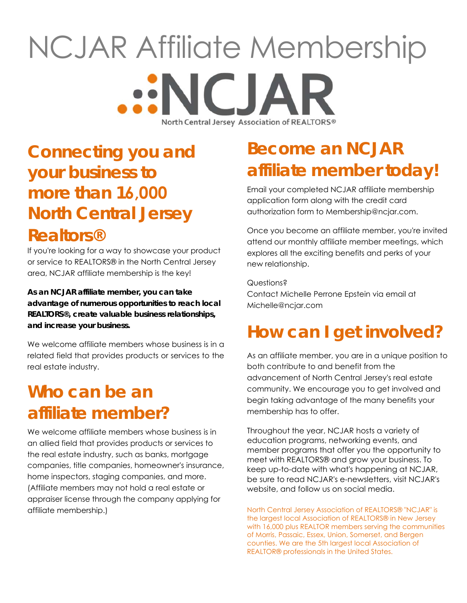## NCJAR Affiliate Membership **ENCIA** North Central Jersey Association of REALTORS®

## **Connecting you and your business to more than 16,000 North Central Jersey Realtors®**

If you're looking for a way to showcase your product or service to REALTORS® in the North Central Jersey area, NCJAR affiliate membership is the key!

**As an NCJAR affiliate member, you can take advantage of numerous opportunities to reach local REALTORS®, create valuable business relationships, and increase your business.** 

We welcome affiliate members whose business is in a related field that provides products or services to the real estate industry.

## **Who can be an affiliate member?**

We welcome affiliate members whose business is in an allied field that provides products or services to the real estate industry, such as banks, mortgage companies, title companies, homeowner's insurance, home inspectors, staging companies, and more. (Affiliate members may not hold a real estate or appraiser license through the company applying for affiliate membership.)

## **Become an NCJAR affiliate member today!**

Email your completed NCJAR affiliate membership application form along with the credit card authorization form to Membership@ncjar.com.

Once you become an affiliate member, you're invited attend our monthly affiliate member meetings, which explores all the exciting benefits and perks of your new relationship.

Questions? Contact Michelle Perrone Epstein via email at Michelle@ncjar.com

## **How can I get involved?**

As an affiliate member, you are in a unique position to both contribute to and benefit from the advancement of North Central Jersey's real estate community. We encourage you to get involved and begin taking advantage of the many benefits your membership has to offer.

Throughout the year, NCJAR hosts a variety of education programs, networking events, and member programs that offer you the opportunity to meet with REALTORS® and grow your business. To keep up-to-date with what's happening at NCJAR, be sure to read NCJAR's e-newsletters, visit NCJAR's website, and follow us on social media.

North Central Jersey Association of REALTORS® "NCJAR" is the largest local Association of REALTORS® in New Jersey with 16,000 plus REALTOR members serving the communities of Morris, Passaic, Essex, Union, Somerset, and Bergen counties. We are the 5th largest local Association of REALTOR® professionals in the United States.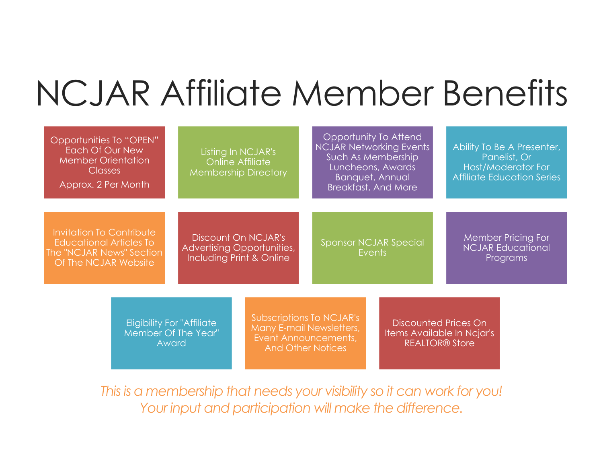# NCJAR Affiliate Member Benefits

|                                                                                                                       | Opportunities To "OPEN"<br>Each Of Our New<br><b>Member Orientation</b><br><b>Classes</b><br>Approx. 2 Per Month |                                                                               | Listing In NCJAR's<br><b>Online Affiliate</b><br><b>Membership Directory</b>                             | Opportunity To Attend<br><b>NCJAR Networking Events</b><br>Such As Membership<br>Luncheons, Awards<br><b>Banquet, Annual</b><br><b>Breakfast, And More</b> |                                        | Ability To Be A Presenter,<br>Panelist, Or<br>Host/Moderator For<br><b>Affiliate Education Series</b> |                                                                                    |                                                                   |  |  |
|-----------------------------------------------------------------------------------------------------------------------|------------------------------------------------------------------------------------------------------------------|-------------------------------------------------------------------------------|----------------------------------------------------------------------------------------------------------|------------------------------------------------------------------------------------------------------------------------------------------------------------|----------------------------------------|-------------------------------------------------------------------------------------------------------|------------------------------------------------------------------------------------|-------------------------------------------------------------------|--|--|
| <b>Invitation To Contribute</b><br><b>Educational Articles To</b><br>The "NCJAR News" Section<br>Of The NCJAR Website |                                                                                                                  | Discount On NCJAR's<br>Advertising Opportunities,<br>Including Print & Online |                                                                                                          |                                                                                                                                                            | <b>Sponsor NCJAR Special</b><br>Events |                                                                                                       |                                                                                    | <b>Member Pricing For</b><br><b>NCJAR Educational</b><br>Programs |  |  |
|                                                                                                                       | <b>Eligibility For "Affiliate"</b><br>Member Of The Year"<br>Award                                               |                                                                               | Subscriptions To NCJAR's<br>Many E-mail Newsletters,<br>Event Announcements,<br><b>And Other Notices</b> |                                                                                                                                                            |                                        |                                                                                                       | <b>Discounted Prices On</b><br>Items Available In Ncjar's<br><b>REALTOR® Store</b> |                                                                   |  |  |

*This is a membership that needs your visibility so it can work for you!*  Your *input and participation will make the difference.*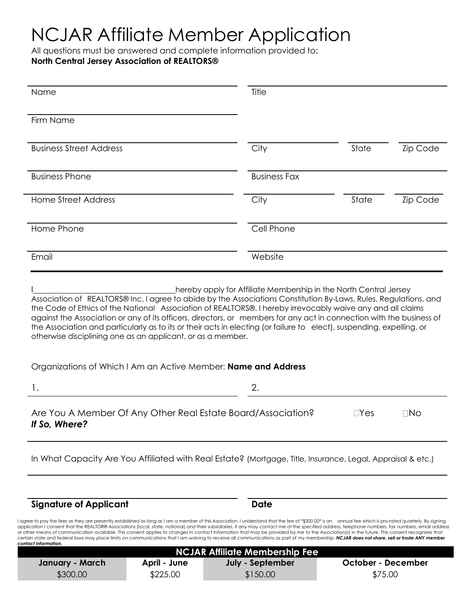## NCJAR Affiliate Member Application

All questions must be answered and complete information provided to:

### **North Central Jersey Association of REALTORS®**

| Name                           | Title               |       |          |
|--------------------------------|---------------------|-------|----------|
| Firm Name                      |                     |       |          |
| <b>Business Street Address</b> | City                | State | Zip Code |
| <b>Business Phone</b>          | <b>Business Fax</b> |       |          |
| <b>Home Street Address</b>     | City                | State | Zip Code |
| Home Phone                     | Cell Phone          |       |          |
| Email                          | Website             |       |          |

hereby apply for Affiliate Membership in the North Central Jersey Association of REALTORS® Inc. I agree to abide by the Associations Constitution By-Laws, Rules, Regulations, and the Code of Ethics of the National Association of REALTORS®. I hereby irrevocably waive any and all claims against the Association or any of its officers, directors, or members for any act in connection with the business of the Association and particularly as to its or their acts in electing (or failure to elect), suspending, expelling, or otherwise disciplining one as an applicant, or as a member.

### Organizations of Which I Am an Active Member: **Name and Address**

 $1.$  2.

| Are You A Member Of Any Other Real Estate Board/Association? | $\neg$ Yes | $\neg$ No |
|--------------------------------------------------------------|------------|-----------|
| If So, Where?                                                |            |           |

In What Capacity Are You Affiliated with Real Estate? (Mortgage, Title, Insurance, Legal, Appraisal & etc.)

**Signature of Applicant Date** 

I agree to pay the fees as they are presently established as long as I am a member of this Association. I understand that the fee of \*\$300.00\* is an annual fee which is pro-rated quarterly. By signing application I consent that the REALTOR® Associations (local, state, national) and their subsidiaries, if any may contact me at the specified address, telephone numbers, fax numbers, fax numbers, email address or other means of communication available. This consent applies to changes in contact information that may be provided by me to the Association(s) in the future. This consent recognizes that certain state and federal laws may place limits on communications that I am waiving to receive all communications as part of my membership. *NCJAR does not share, sell or trade ANY member contact information.*

|                 |              | NCJAR Affiliate Membership Fee |                    |  |
|-----------------|--------------|--------------------------------|--------------------|--|
| January - March | April - June | July - September               | October - December |  |
| \$300.00        | \$225.00     | \$150.00                       | \$75.00            |  |